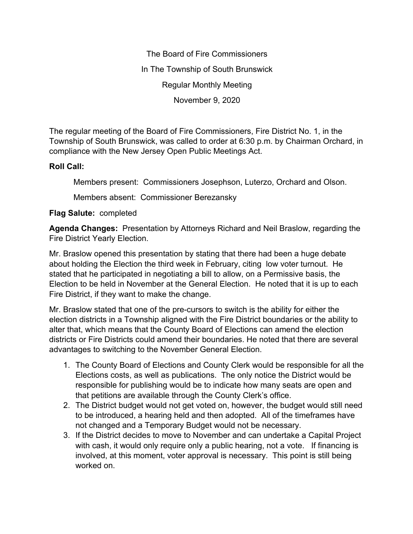The Board of Fire Commissioners In The Township of South Brunswick Regular Monthly Meeting November 9, 2020

The regular meeting of the Board of Fire Commissioners, Fire District No. 1, in the Township of South Brunswick, was called to order at 6:30 p.m. by Chairman Orchard, in compliance with the New Jersey Open Public Meetings Act.

## **Roll Call:**

Members present: Commissioners Josephson, Luterzo, Orchard and Olson.

Members absent: Commissioner Berezansky

## **Flag Salute:** completed

**Agenda Changes:** Presentation by Attorneys Richard and Neil Braslow, regarding the Fire District Yearly Election.

Mr. Braslow opened this presentation by stating that there had been a huge debate about holding the Election the third week in February, citing low voter turnout. He stated that he participated in negotiating a bill to allow, on a Permissive basis, the Election to be held in November at the General Election. He noted that it is up to each Fire District, if they want to make the change.

Mr. Braslow stated that one of the pre-cursors to switch is the ability for either the election districts in a Township aligned with the Fire District boundaries or the ability to alter that, which means that the County Board of Elections can amend the election districts or Fire Districts could amend their boundaries. He noted that there are several advantages to switching to the November General Election.

- 1. The County Board of Elections and County Clerk would be responsible for all the Elections costs, as well as publications. The only notice the District would be responsible for publishing would be to indicate how many seats are open and that petitions are available through the County Clerk's office.
- 2. The District budget would not get voted on, however, the budget would still need to be introduced, a hearing held and then adopted. All of the timeframes have not changed and a Temporary Budget would not be necessary.
- 3. If the District decides to move to November and can undertake a Capital Project with cash, it would only require only a public hearing, not a vote. If financing is involved, at this moment, voter approval is necessary. This point is still being worked on.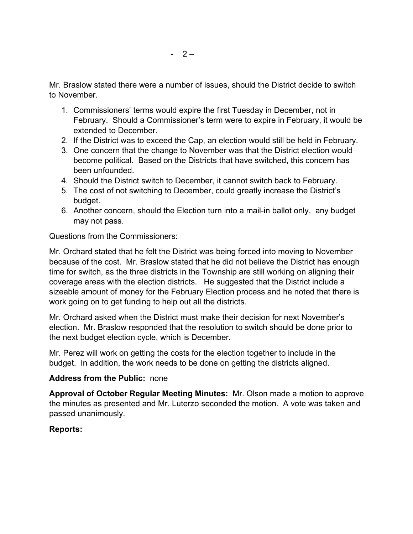Mr. Braslow stated there were a number of issues, should the District decide to switch to November.

- 1. Commissioners' terms would expire the first Tuesday in December, not in February. Should a Commissioner's term were to expire in February, it would be extended to December.
- 2. If the District was to exceed the Cap, an election would still be held in February.
- 3. One concern that the change to November was that the District election would become political. Based on the Districts that have switched, this concern has been unfounded.
- 4. Should the District switch to December, it cannot switch back to February.
- 5. The cost of not switching to December, could greatly increase the District's budget.
- 6. Another concern, should the Election turn into a mail-in ballot only, any budget may not pass.

Questions from the Commissioners:

Mr. Orchard stated that he felt the District was being forced into moving to November because of the cost. Mr. Braslow stated that he did not believe the District has enough time for switch, as the three districts in the Township are still working on aligning their coverage areas with the election districts. He suggested that the District include a sizeable amount of money for the February Election process and he noted that there is work going on to get funding to help out all the districts.

Mr. Orchard asked when the District must make their decision for next November's election. Mr. Braslow responded that the resolution to switch should be done prior to the next budget election cycle, which is December.

Mr. Perez will work on getting the costs for the election together to include in the budget. In addition, the work needs to be done on getting the districts aligned.

## **Address from the Public:** none

**Approval of October Regular Meeting Minutes:** Mr. Olson made a motion to approve the minutes as presented and Mr. Luterzo seconded the motion. A vote was taken and passed unanimously.

# **Reports:**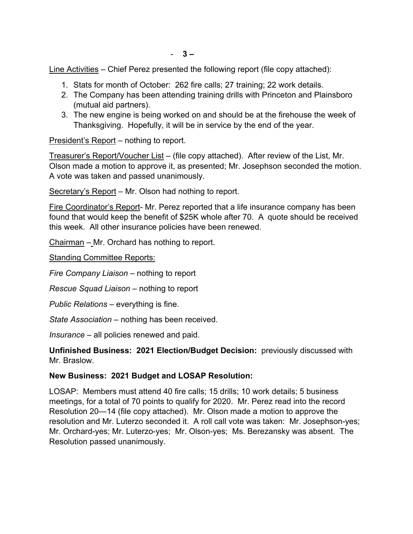Line Activities – Chief Perez presented the following report (file copy attached):

- 1. Stats for month of October: 262 fire calls; 27 training; 22 work details.
- 2. The Company has been attending training drills with Princeton and Plainsboro (mutual aid partners).
- 3. The new engine is being worked on and should be at the firehouse the week of Thanksgiving. Hopefully, it will be in service by the end of the year.

President's Report – nothing to report.

Treasurer's Report/Voucher List – (file copy attached). After review of the List, Mr. Olson made a motion to approve it, as presented; Mr. Josephson seconded the motion. A vote was taken and passed unanimously.

Secretary's Report – Mr. Olson had nothing to report.

Fire Coordinator's Report- Mr. Perez reported that a life insurance company has been found that would keep the benefit of \$25K whole after 70. A quote should be received this week. All other insurance policies have been renewed.

Chairman – Mr. Orchard has nothing to report.

Standing Committee Reports:

*Fire Company Liaison –* nothing to report

*Rescue Squad Liaison –* nothing to report

*Public Relations –* everything is fine.

*State Association –* nothing has been received.

*Insurance –* all policies renewed and paid.

**Unfinished Business: 2021 Election/Budget Decision:** previously discussed with Mr. Braslow.

## **New Business: 2021 Budget and LOSAP Resolution:**

LOSAP: Members must attend 40 fire calls; 15 drills; 10 work details; 5 business meetings, for a total of 70 points to qualify for 2020. Mr. Perez read into the record Resolution 20—14 (file copy attached). Mr. Olson made a motion to approve the resolution and Mr. Luterzo seconded it. A roll call vote was taken: Mr. Josephson-yes; Mr. Orchard-yes; Mr. Luterzo-yes; Mr. Olson-yes; Ms. Berezansky was absent. The Resolution passed unanimously.